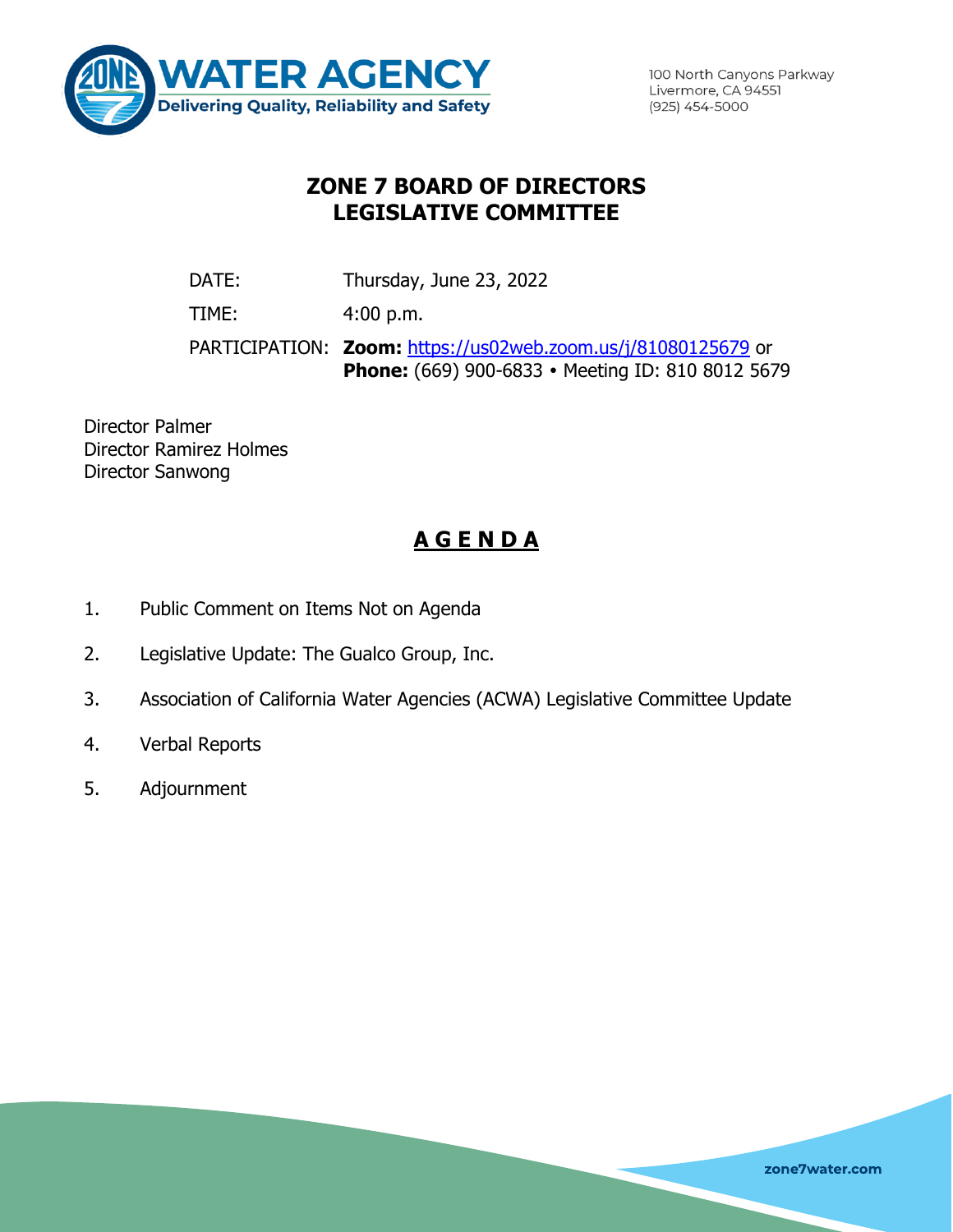

100 North Canyons Parkway Livermore, CA 94551 (925) 454-5000

# **ZONE 7 BOARD OF DIRECTORS LEGISLATIVE COMMITTEE**

DATE: Thursday, June 23, 2022

TIME: 4:00 p.m.

PARTICIPATION: **Zoom:** <https://us02web.zoom.us/j/81080125679> or Phone: (669) 900-6833 · Meeting ID: 810 8012 5679

Director Palmer Director Ramirez Holmes Director Sanwong

# **A G E N D A**

- 1. Public Comment on Items Not on Agenda
- 2. Legislative Update: The Gualco Group, Inc.
- 3. Association of California Water Agencies (ACWA) Legislative Committee Update
- 4. Verbal Reports
- 5. Adjournment

zone7water.com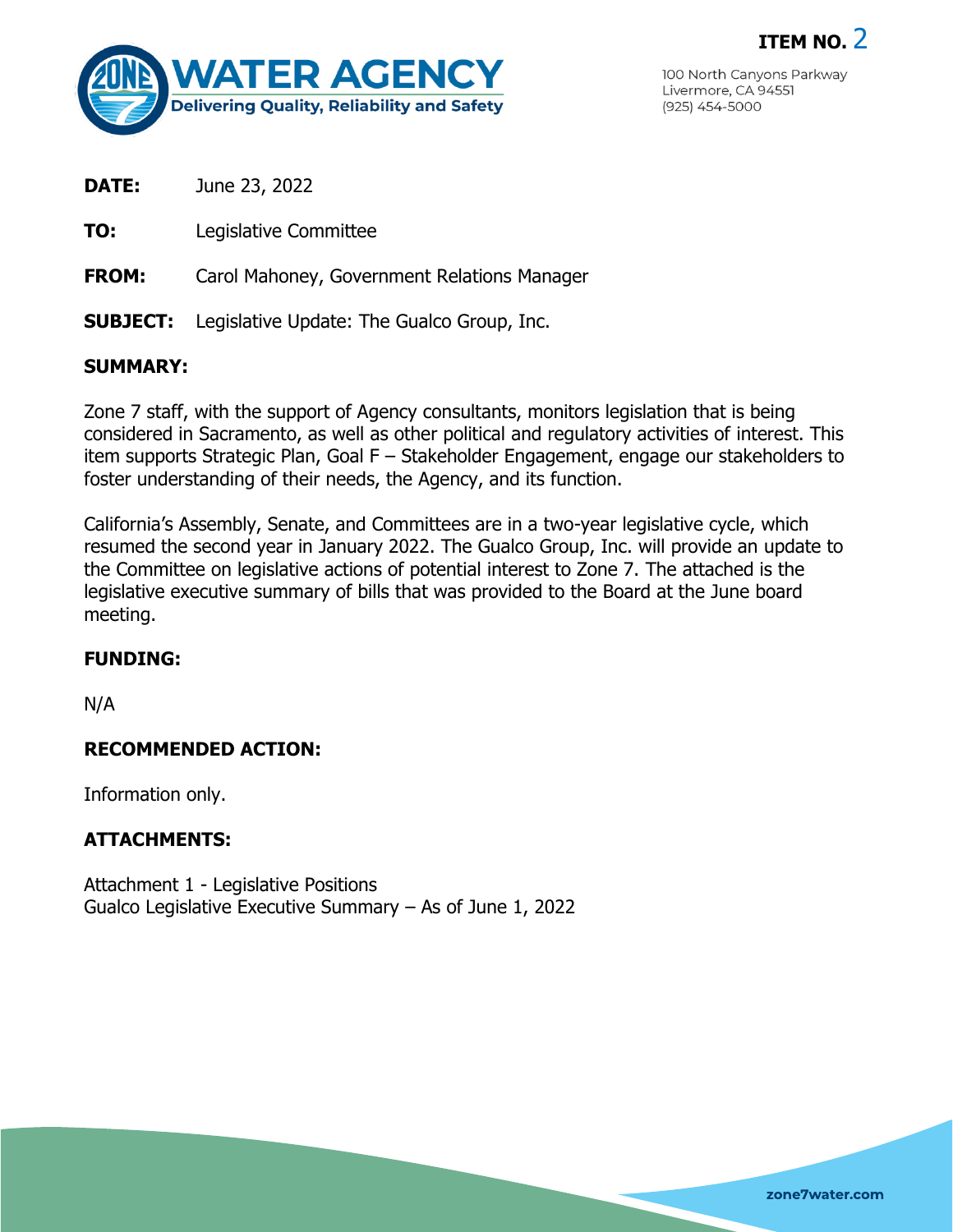

100 North Canyons Parkway Livermore, CA 94551  $(925)$  454-5000

**ITEM NO.** 2

**DATE:** June 23, 2022

**TO:** Legislative Committee

**FROM:** Carol Mahoney, Government Relations Manager

**SUBJECT:** Legislative Update: The Gualco Group, Inc.

### **SUMMARY:**

Zone 7 staff, with the support of Agency consultants, monitors legislation that is being considered in Sacramento, as well as other political and regulatory activities of interest. This item supports Strategic Plan, Goal F – Stakeholder Engagement, engage our stakeholders to foster understanding of their needs, the Agency, and its function.

California's Assembly, Senate, and Committees are in a two-year legislative cycle, which resumed the second year in January 2022. The Gualco Group, Inc. will provide an update to the Committee on legislative actions of potential interest to Zone 7. The attached is the legislative executive summary of bills that was provided to the Board at the June board meeting.

## **FUNDING:**

N/A

#### **RECOMMENDED ACTION:**

Information only.

## **ATTACHMENTS:**

Attachment 1 - Legislative Positions Gualco Legislative Executive Summary – As of June 1, 2022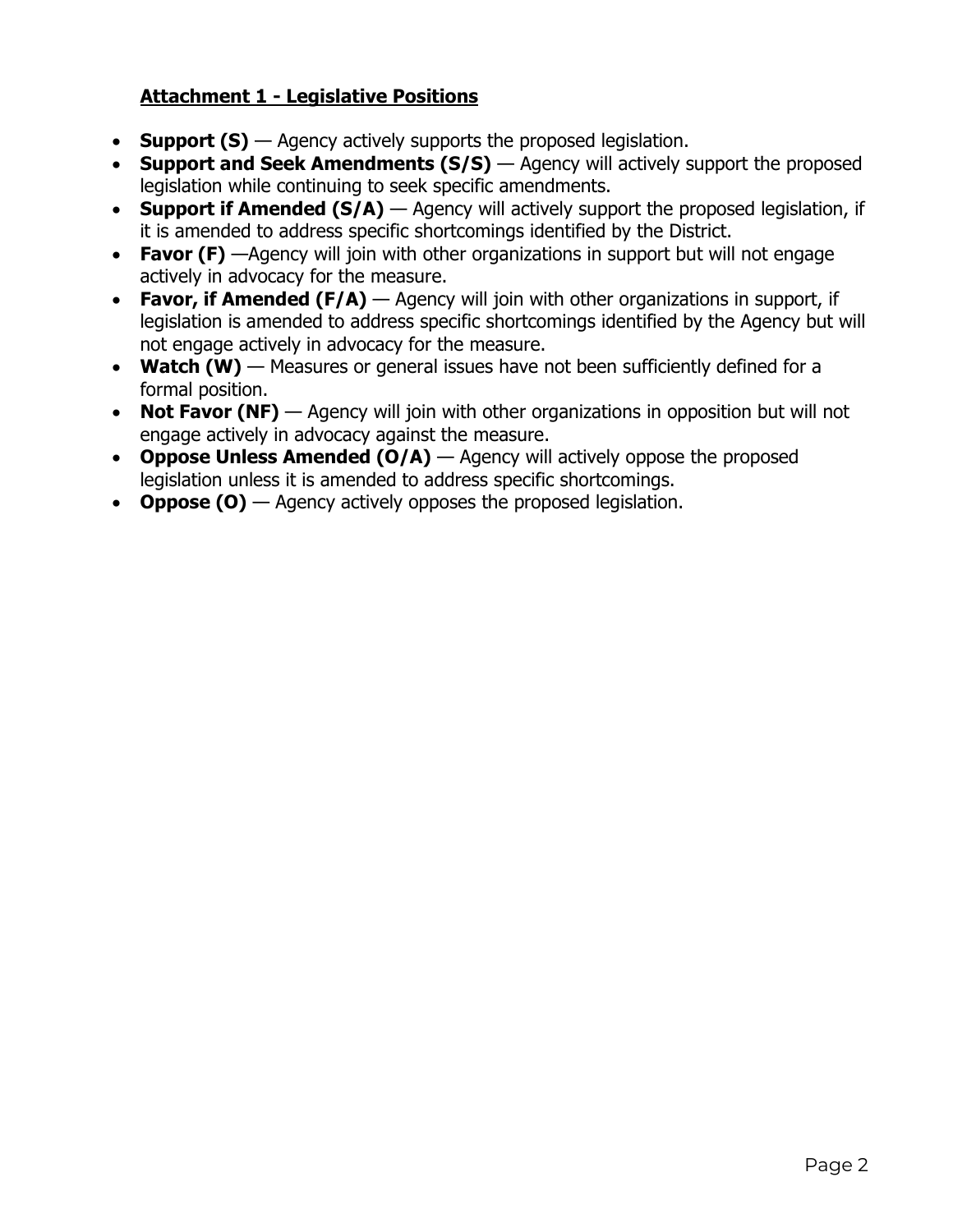# **Attachment 1 - Legislative Positions**

- **Support (S)** Agency actively supports the proposed legislation.
- **Support and Seek Amendments (S/S)** Agency will actively support the proposed legislation while continuing to seek specific amendments.
- **Support if Amended (S/A)** Agency will actively support the proposed legislation, if it is amended to address specific shortcomings identified by the District.
- **Favor (F)** —Agency will join with other organizations in support but will not engage actively in advocacy for the measure.
- **Favor, if Amended (F/A)** Agency will join with other organizations in support, if legislation is amended to address specific shortcomings identified by the Agency but will not engage actively in advocacy for the measure.
- **Watch (W)** Measures or general issues have not been sufficiently defined for a formal position.
- **Not Favor (NF)** Agency will join with other organizations in opposition but will not engage actively in advocacy against the measure.
- **Oppose Unless Amended (O/A)** Agency will actively oppose the proposed legislation unless it is amended to address specific shortcomings.
- **Oppose (O)** Agency actively opposes the proposed legislation.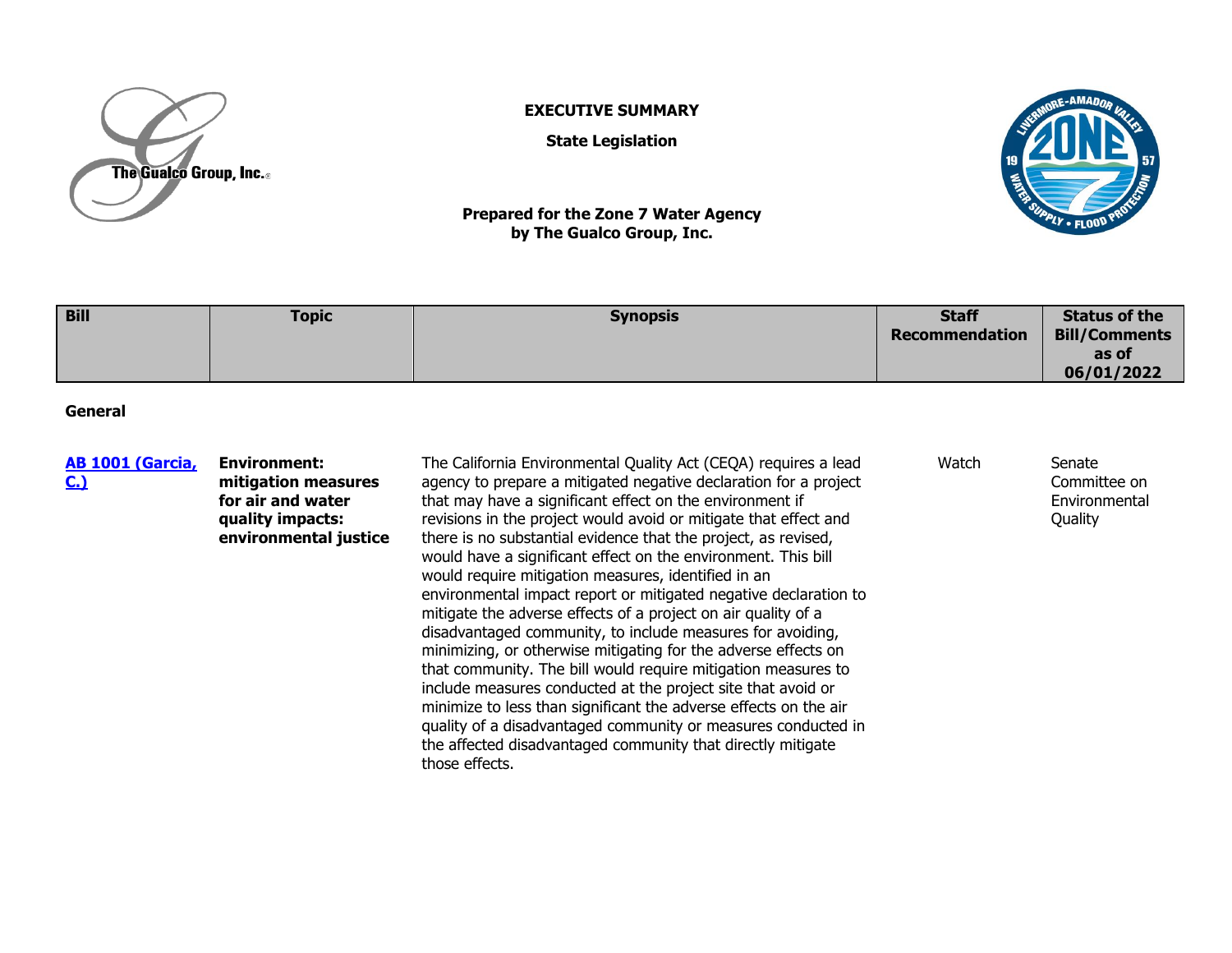

#### **EXECUTIVE SUMMARY**

**State Legislation**



**Prepared for the Zone 7 Water Agency by The Gualco Group, Inc.**

| <b>Bill</b> | <b>Topic</b> | <b>Synopsis</b> | <b>Staff</b>          | <b>Status of the</b> |
|-------------|--------------|-----------------|-----------------------|----------------------|
|             |              |                 | <b>Recommendation</b> | <b>Bill/Comments</b> |
|             |              |                 |                       | as of                |
|             |              |                 |                       | 06/01/2022           |

**General**

| <b>AB 1001 (Garcia,</b><br><u>C.)</u> | <b>Environment:</b><br>mitigation measures<br>for air and water<br>quality impacts:<br>environmental justice | The California Environmental Quality Act (CEQA) requires a lead<br>agency to prepare a mitigated negative declaration for a project<br>that may have a significant effect on the environment if<br>revisions in the project would avoid or mitigate that effect and<br>there is no substantial evidence that the project, as revised,<br>would have a significant effect on the environment. This bill<br>would require mitigation measures, identified in an<br>environmental impact report or mitigated negative declaration to<br>mitigate the adverse effects of a project on air quality of a<br>disadvantaged community, to include measures for avoiding,<br>minimizing, or otherwise mitigating for the adverse effects on<br>that community. The bill would require mitigation measures to<br>include measures conducted at the project site that avoid or<br>minimize to less than significant the adverse effects on the air<br>quality of a disadvantaged community or measures conducted in | Watch | Senate<br>Committee on<br>Environmental<br>Quality |
|---------------------------------------|--------------------------------------------------------------------------------------------------------------|----------------------------------------------------------------------------------------------------------------------------------------------------------------------------------------------------------------------------------------------------------------------------------------------------------------------------------------------------------------------------------------------------------------------------------------------------------------------------------------------------------------------------------------------------------------------------------------------------------------------------------------------------------------------------------------------------------------------------------------------------------------------------------------------------------------------------------------------------------------------------------------------------------------------------------------------------------------------------------------------------------|-------|----------------------------------------------------|
|                                       |                                                                                                              | the affected disadvantaged community that directly mitigate                                                                                                                                                                                                                                                                                                                                                                                                                                                                                                                                                                                                                                                                                                                                                                                                                                                                                                                                              |       |                                                    |

those effects.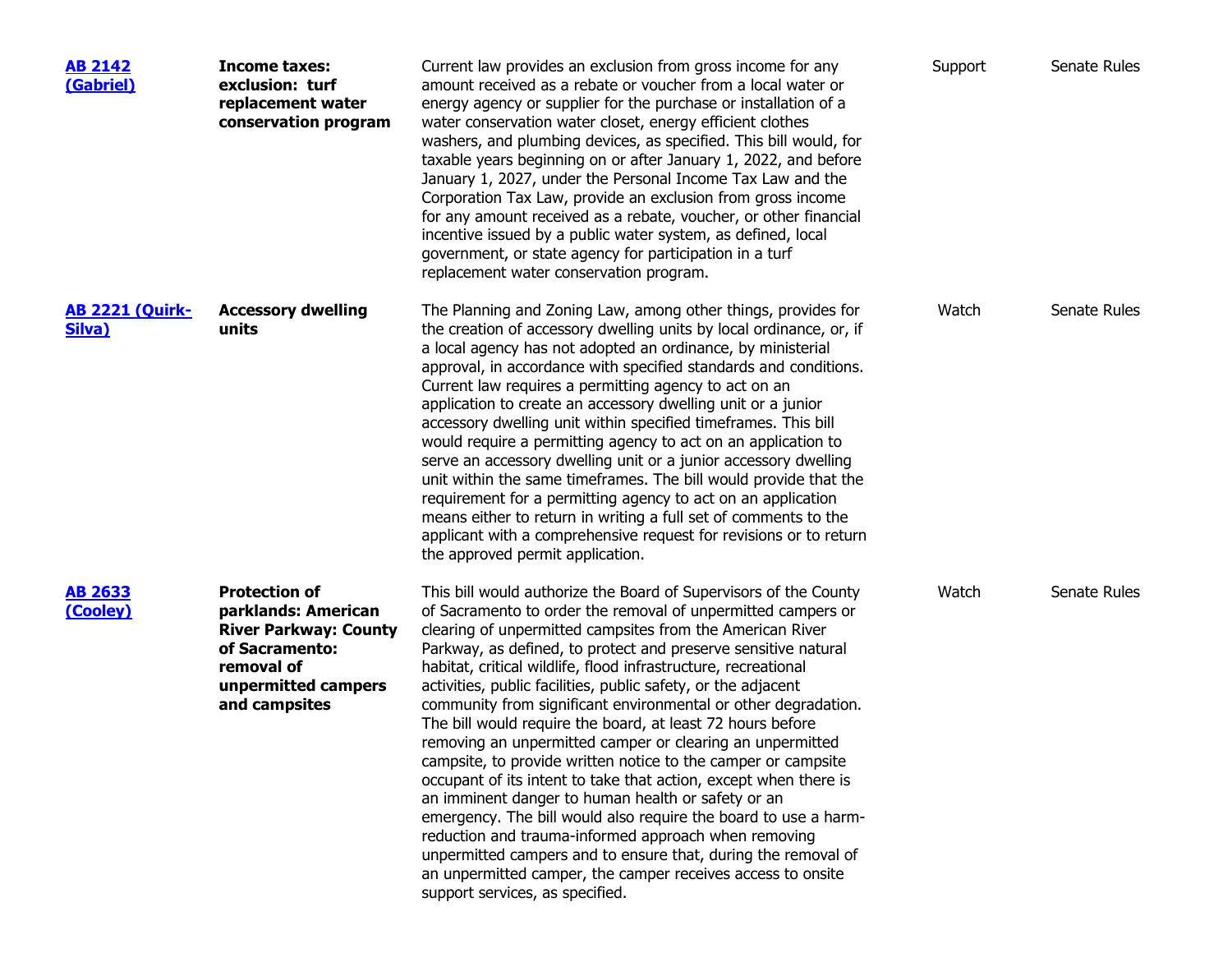| <b>AB 2142</b><br>(Gabriel)      | Income taxes:<br>exclusion: turf<br>replacement water<br>conservation program                                                                       | Current law provides an exclusion from gross income for any<br>amount received as a rebate or voucher from a local water or<br>energy agency or supplier for the purchase or installation of a<br>water conservation water closet, energy efficient clothes<br>washers, and plumbing devices, as specified. This bill would, for<br>taxable years beginning on or after January 1, 2022, and before<br>January 1, 2027, under the Personal Income Tax Law and the<br>Corporation Tax Law, provide an exclusion from gross income<br>for any amount received as a rebate, voucher, or other financial<br>incentive issued by a public water system, as defined, local<br>government, or state agency for participation in a turf<br>replacement water conservation program.                                                                                                                                                                                                                                                                                                               | Support | Senate Rules |
|----------------------------------|-----------------------------------------------------------------------------------------------------------------------------------------------------|------------------------------------------------------------------------------------------------------------------------------------------------------------------------------------------------------------------------------------------------------------------------------------------------------------------------------------------------------------------------------------------------------------------------------------------------------------------------------------------------------------------------------------------------------------------------------------------------------------------------------------------------------------------------------------------------------------------------------------------------------------------------------------------------------------------------------------------------------------------------------------------------------------------------------------------------------------------------------------------------------------------------------------------------------------------------------------------|---------|--------------|
| <b>AB 2221 (Quirk-</b><br>Silva) | <b>Accessory dwelling</b><br>units                                                                                                                  | The Planning and Zoning Law, among other things, provides for<br>the creation of accessory dwelling units by local ordinance, or, if<br>a local agency has not adopted an ordinance, by ministerial<br>approval, in accordance with specified standards and conditions.<br>Current law requires a permitting agency to act on an<br>application to create an accessory dwelling unit or a junior<br>accessory dwelling unit within specified timeframes. This bill<br>would require a permitting agency to act on an application to<br>serve an accessory dwelling unit or a junior accessory dwelling<br>unit within the same timeframes. The bill would provide that the<br>requirement for a permitting agency to act on an application<br>means either to return in writing a full set of comments to the<br>applicant with a comprehensive request for revisions or to return<br>the approved permit application.                                                                                                                                                                   | Watch   | Senate Rules |
| <b>AB 2633</b><br>(Cooley)       | <b>Protection of</b><br>parklands: American<br><b>River Parkway: County</b><br>of Sacramento:<br>removal of<br>unpermitted campers<br>and campsites | This bill would authorize the Board of Supervisors of the County<br>of Sacramento to order the removal of unpermitted campers or<br>clearing of unpermitted campsites from the American River<br>Parkway, as defined, to protect and preserve sensitive natural<br>habitat, critical wildlife, flood infrastructure, recreational<br>activities, public facilities, public safety, or the adjacent<br>community from significant environmental or other degradation.<br>The bill would require the board, at least 72 hours before<br>removing an unpermitted camper or clearing an unpermitted<br>campsite, to provide written notice to the camper or campsite<br>occupant of its intent to take that action, except when there is<br>an imminent danger to human health or safety or an<br>emergency. The bill would also require the board to use a harm-<br>reduction and trauma-informed approach when removing<br>unpermitted campers and to ensure that, during the removal of<br>an unpermitted camper, the camper receives access to onsite<br>support services, as specified. | Watch   | Senate Rules |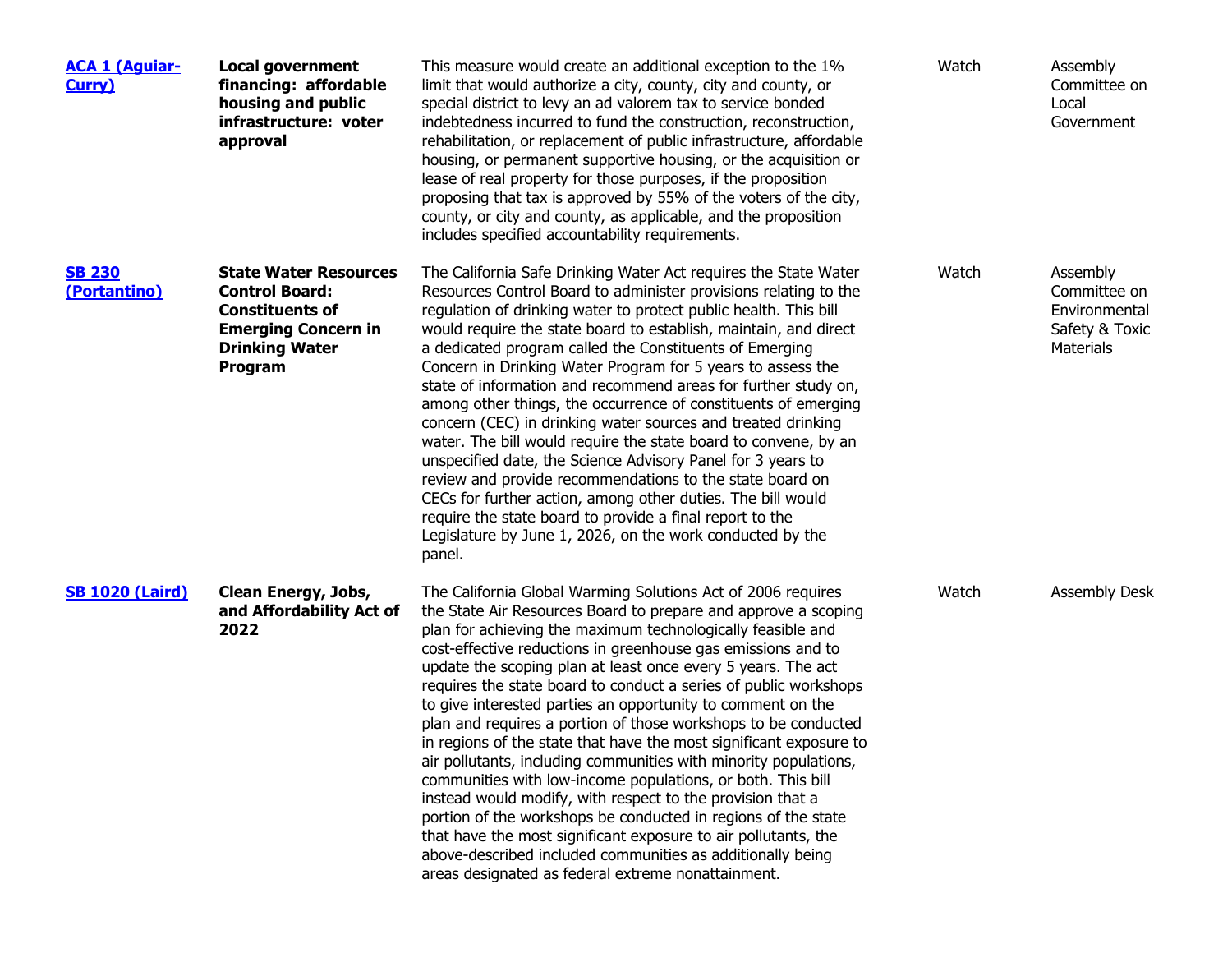| <b>ACA 1 (Aguiar-</b><br>Curry) | <b>Local government</b><br>financing: affordable<br>housing and public<br>infrastructure: voter<br>approval                                       | This measure would create an additional exception to the 1%<br>limit that would authorize a city, county, city and county, or<br>special district to levy an ad valorem tax to service bonded<br>indebtedness incurred to fund the construction, reconstruction,<br>rehabilitation, or replacement of public infrastructure, affordable<br>housing, or permanent supportive housing, or the acquisition or<br>lease of real property for those purposes, if the proposition<br>proposing that tax is approved by 55% of the voters of the city,<br>county, or city and county, as applicable, and the proposition<br>includes specified accountability requirements.                                                                                                                                                                                                                                                                                                                                                                                             | Watch | Assembly<br>Committee on<br>Local<br>Government                          |
|---------------------------------|---------------------------------------------------------------------------------------------------------------------------------------------------|------------------------------------------------------------------------------------------------------------------------------------------------------------------------------------------------------------------------------------------------------------------------------------------------------------------------------------------------------------------------------------------------------------------------------------------------------------------------------------------------------------------------------------------------------------------------------------------------------------------------------------------------------------------------------------------------------------------------------------------------------------------------------------------------------------------------------------------------------------------------------------------------------------------------------------------------------------------------------------------------------------------------------------------------------------------|-------|--------------------------------------------------------------------------|
| <b>SB 230</b><br>(Portantino)   | <b>State Water Resources</b><br><b>Control Board:</b><br><b>Constituents of</b><br><b>Emerging Concern in</b><br><b>Drinking Water</b><br>Program | The California Safe Drinking Water Act requires the State Water<br>Resources Control Board to administer provisions relating to the<br>regulation of drinking water to protect public health. This bill<br>would require the state board to establish, maintain, and direct<br>a dedicated program called the Constituents of Emerging<br>Concern in Drinking Water Program for 5 years to assess the<br>state of information and recommend areas for further study on,<br>among other things, the occurrence of constituents of emerging<br>concern (CEC) in drinking water sources and treated drinking<br>water. The bill would require the state board to convene, by an<br>unspecified date, the Science Advisory Panel for 3 years to<br>review and provide recommendations to the state board on<br>CECs for further action, among other duties. The bill would<br>require the state board to provide a final report to the<br>Legislature by June 1, 2026, on the work conducted by the<br>panel.                                                        | Watch | Assembly<br>Committee on<br>Environmental<br>Safety & Toxic<br>Materials |
| <b>SB 1020 (Laird)</b>          | Clean Energy, Jobs,<br>and Affordability Act of<br>2022                                                                                           | The California Global Warming Solutions Act of 2006 requires<br>the State Air Resources Board to prepare and approve a scoping<br>plan for achieving the maximum technologically feasible and<br>cost-effective reductions in greenhouse gas emissions and to<br>update the scoping plan at least once every 5 years. The act<br>requires the state board to conduct a series of public workshops<br>to give interested parties an opportunity to comment on the<br>plan and requires a portion of those workshops to be conducted<br>in regions of the state that have the most significant exposure to<br>air pollutants, including communities with minority populations,<br>communities with low-income populations, or both. This bill<br>instead would modify, with respect to the provision that a<br>portion of the workshops be conducted in regions of the state<br>that have the most significant exposure to air pollutants, the<br>above-described included communities as additionally being<br>areas designated as federal extreme nonattainment. | Watch | Assembly Desk                                                            |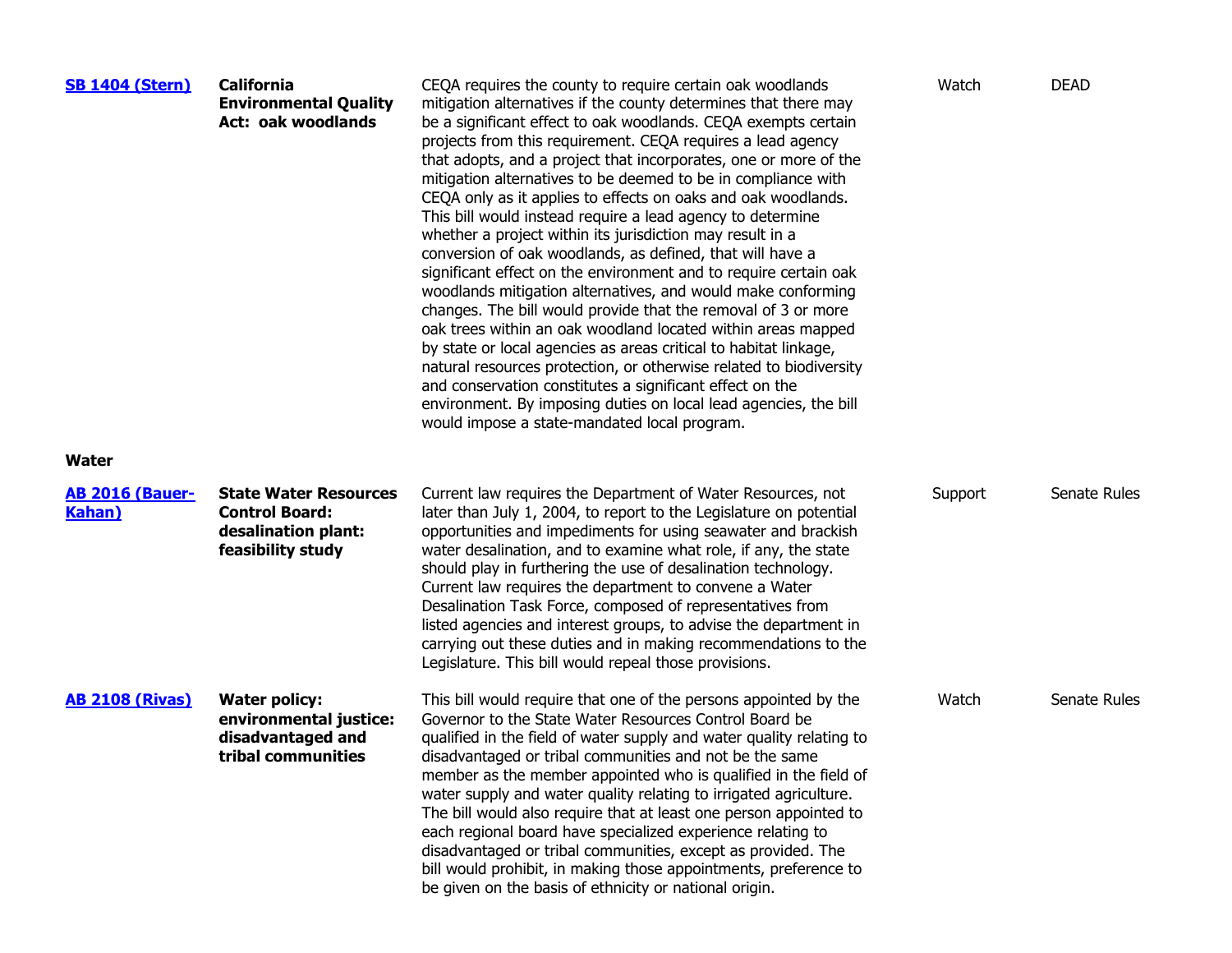| <b>SB 1404 (Stern)</b>                   | <b>California</b><br><b>Environmental Quality</b><br><b>Act: oak woodlands</b>                    | CEQA requires the county to require certain oak woodlands<br>mitigation alternatives if the county determines that there may<br>be a significant effect to oak woodlands. CEQA exempts certain<br>projects from this requirement. CEQA requires a lead agency<br>that adopts, and a project that incorporates, one or more of the<br>mitigation alternatives to be deemed to be in compliance with<br>CEQA only as it applies to effects on oaks and oak woodlands.<br>This bill would instead require a lead agency to determine<br>whether a project within its jurisdiction may result in a<br>conversion of oak woodlands, as defined, that will have a<br>significant effect on the environment and to require certain oak<br>woodlands mitigation alternatives, and would make conforming<br>changes. The bill would provide that the removal of 3 or more<br>oak trees within an oak woodland located within areas mapped<br>by state or local agencies as areas critical to habitat linkage,<br>natural resources protection, or otherwise related to biodiversity<br>and conservation constitutes a significant effect on the<br>environment. By imposing duties on local lead agencies, the bill<br>would impose a state-mandated local program. | Watch   | <b>DEAD</b>  |
|------------------------------------------|---------------------------------------------------------------------------------------------------|------------------------------------------------------------------------------------------------------------------------------------------------------------------------------------------------------------------------------------------------------------------------------------------------------------------------------------------------------------------------------------------------------------------------------------------------------------------------------------------------------------------------------------------------------------------------------------------------------------------------------------------------------------------------------------------------------------------------------------------------------------------------------------------------------------------------------------------------------------------------------------------------------------------------------------------------------------------------------------------------------------------------------------------------------------------------------------------------------------------------------------------------------------------------------------------------------------------------------------------------------------|---------|--------------|
| Water                                    |                                                                                                   |                                                                                                                                                                                                                                                                                                                                                                                                                                                                                                                                                                                                                                                                                                                                                                                                                                                                                                                                                                                                                                                                                                                                                                                                                                                            |         |              |
| <b>AB 2016 (Bauer-</b><br><b>Kahan</b> ) | <b>State Water Resources</b><br><b>Control Board:</b><br>desalination plant:<br>feasibility study | Current law requires the Department of Water Resources, not<br>later than July 1, 2004, to report to the Legislature on potential<br>opportunities and impediments for using seawater and brackish<br>water desalination, and to examine what role, if any, the state<br>should play in furthering the use of desalination technology.<br>Current law requires the department to convene a Water<br>Desalination Task Force, composed of representatives from<br>listed agencies and interest groups, to advise the department in<br>carrying out these duties and in making recommendations to the<br>Legislature. This bill would repeal those provisions.                                                                                                                                                                                                                                                                                                                                                                                                                                                                                                                                                                                               | Support | Senate Rules |
| <b>AB 2108 (Rivas)</b>                   | <b>Water policy:</b><br>environmental justice:<br>disadvantaged and<br>tribal communities         | This bill would require that one of the persons appointed by the<br>Governor to the State Water Resources Control Board be<br>qualified in the field of water supply and water quality relating to<br>disadvantaged or tribal communities and not be the same<br>member as the member appointed who is qualified in the field of<br>water supply and water quality relating to irrigated agriculture.<br>The bill would also require that at least one person appointed to<br>each regional board have specialized experience relating to<br>disadvantaged or tribal communities, except as provided. The<br>bill would prohibit, in making those appointments, preference to<br>be given on the basis of ethnicity or national origin.                                                                                                                                                                                                                                                                                                                                                                                                                                                                                                                    | Watch   | Senate Rules |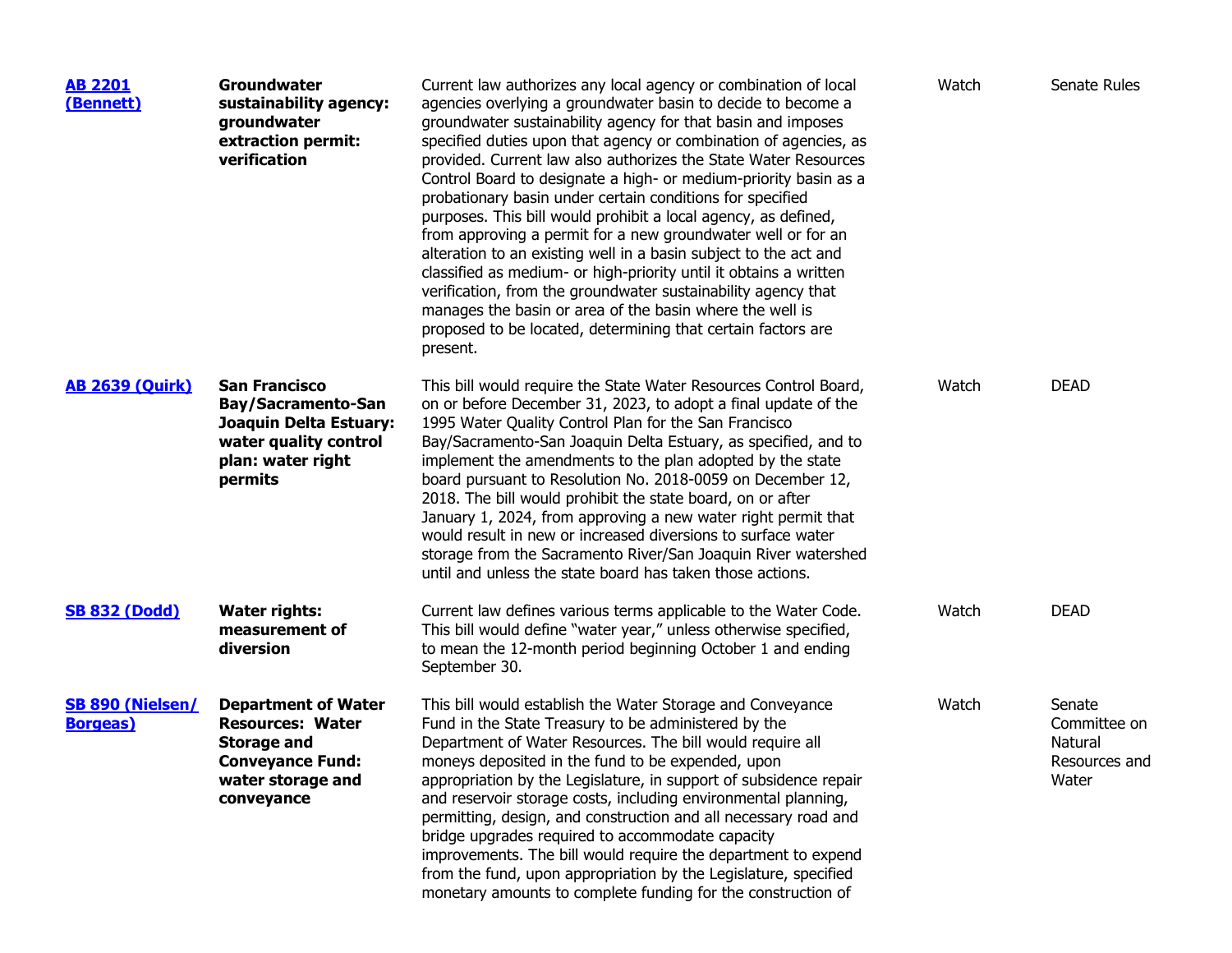| <b>AB 2201</b><br>(Bennett)                 | Groundwater<br>sustainability agency:<br>groundwater<br>extraction permit:<br>verification                                                | Current law authorizes any local agency or combination of local<br>agencies overlying a groundwater basin to decide to become a<br>groundwater sustainability agency for that basin and imposes<br>specified duties upon that agency or combination of agencies, as<br>provided. Current law also authorizes the State Water Resources<br>Control Board to designate a high- or medium-priority basin as a<br>probationary basin under certain conditions for specified<br>purposes. This bill would prohibit a local agency, as defined,<br>from approving a permit for a new groundwater well or for an<br>alteration to an existing well in a basin subject to the act and<br>classified as medium- or high-priority until it obtains a written<br>verification, from the groundwater sustainability agency that<br>manages the basin or area of the basin where the well is<br>proposed to be located, determining that certain factors are<br>present. | Watch | Senate Rules                                                |
|---------------------------------------------|-------------------------------------------------------------------------------------------------------------------------------------------|-------------------------------------------------------------------------------------------------------------------------------------------------------------------------------------------------------------------------------------------------------------------------------------------------------------------------------------------------------------------------------------------------------------------------------------------------------------------------------------------------------------------------------------------------------------------------------------------------------------------------------------------------------------------------------------------------------------------------------------------------------------------------------------------------------------------------------------------------------------------------------------------------------------------------------------------------------------|-------|-------------------------------------------------------------|
| <b>AB 2639 (Quirk)</b>                      | <b>San Francisco</b><br><b>Bay/Sacramento-San</b><br>Joaquin Delta Estuary:<br>water quality control<br>plan: water right<br>permits      | This bill would require the State Water Resources Control Board,<br>on or before December 31, 2023, to adopt a final update of the<br>1995 Water Quality Control Plan for the San Francisco<br>Bay/Sacramento-San Joaquin Delta Estuary, as specified, and to<br>implement the amendments to the plan adopted by the state<br>board pursuant to Resolution No. 2018-0059 on December 12,<br>2018. The bill would prohibit the state board, on or after<br>January 1, 2024, from approving a new water right permit that<br>would result in new or increased diversions to surface water<br>storage from the Sacramento River/San Joaquin River watershed<br>until and unless the state board has taken those actions.                                                                                                                                                                                                                                       | Watch | <b>DEAD</b>                                                 |
| <b>SB 832 (Dodd)</b>                        | <b>Water rights:</b><br>measurement of<br>diversion                                                                                       | Current law defines various terms applicable to the Water Code.<br>This bill would define "water year," unless otherwise specified,<br>to mean the 12-month period beginning October 1 and ending<br>September 30.                                                                                                                                                                                                                                                                                                                                                                                                                                                                                                                                                                                                                                                                                                                                          | Watch | <b>DEAD</b>                                                 |
| <b>SB 890 (Nielsen/</b><br><b>Borgeas</b> ) | <b>Department of Water</b><br><b>Resources: Water</b><br><b>Storage and</b><br><b>Conveyance Fund:</b><br>water storage and<br>conveyance | This bill would establish the Water Storage and Conveyance<br>Fund in the State Treasury to be administered by the<br>Department of Water Resources. The bill would require all<br>moneys deposited in the fund to be expended, upon<br>appropriation by the Legislature, in support of subsidence repair<br>and reservoir storage costs, including environmental planning,<br>permitting, design, and construction and all necessary road and<br>bridge upgrades required to accommodate capacity<br>improvements. The bill would require the department to expend<br>from the fund, upon appropriation by the Legislature, specified<br>monetary amounts to complete funding for the construction of                                                                                                                                                                                                                                                      | Watch | Senate<br>Committee on<br>Natural<br>Resources and<br>Water |